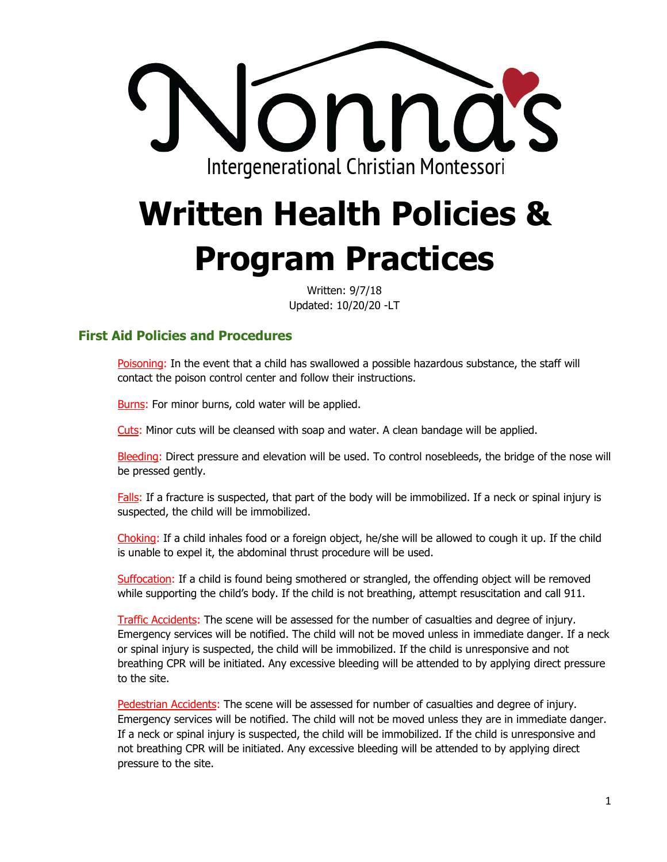

# **Written Health Policies & Program Practices**

Written: 9/7/18 Updated: 10/20/20 -LT

## **First Aid Policies and Procedures**

Poisoning: In the event that a child has swallowed a possible hazardous substance, the staff will contact the poison control center and follow their instructions.

Burns: For minor burns, cold water will be applied.

Cuts: Minor cuts will be cleansed with soap and water. A clean bandage will be applied.

Bleeding: Direct pressure and elevation will be used. To control nosebleeds, the bridge of the nose will be pressed gently.

Falls: If a fracture is suspected, that part of the body will be immobilized. If a neck or spinal injury is suspected, the child will be immobilized.

Choking: If a child inhales food or a foreign object, he/she will be allowed to cough it up. If the child is unable to expel it, the abdominal thrust procedure will be used.

Suffocation: If a child is found being smothered or strangled, the offending object will be removed while supporting the child's body. If the child is not breathing, attempt resuscitation and call 911.

Traffic Accidents: The scene will be assessed for the number of casualties and degree of injury. Emergency services will be notified. The child will not be moved unless in immediate danger. If a neck or spinal injury is suspected, the child will be immobilized. If the child is unresponsive and not breathing CPR will be initiated. Any excessive bleeding will be attended to by applying direct pressure to the site.

Pedestrian Accidents: The scene will be assessed for number of casualties and degree of injury. Emergency services will be notified. The child will not be moved unless they are in immediate danger. If a neck or spinal injury is suspected, the child will be immobilized. If the child is unresponsive and not breathing CPR will be initiated. Any excessive bleeding will be attended to by applying direct pressure to the site.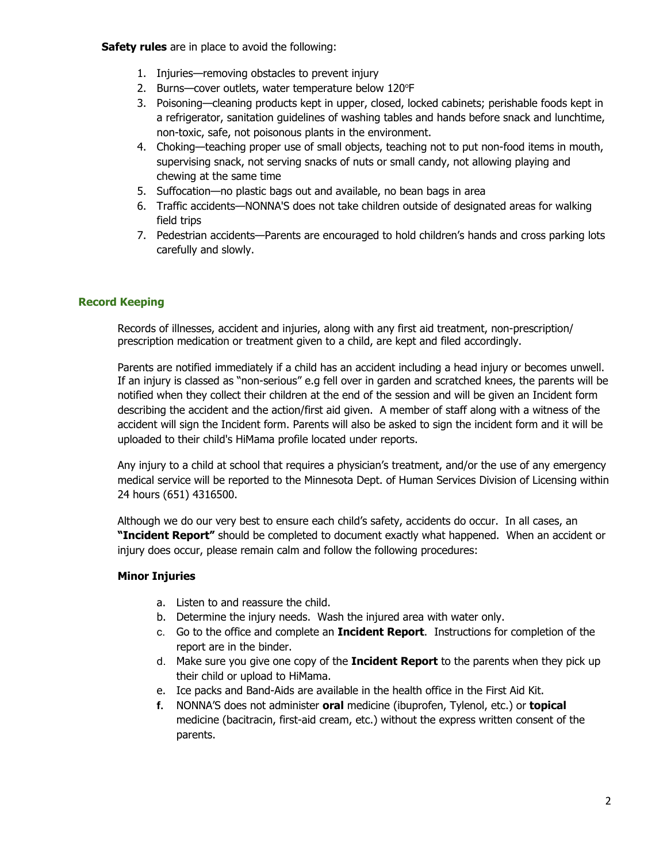**Safety rules** are in place to avoid the following:

- 1. Injuries—removing obstacles to prevent injury
- 2. Burns-cover outlets, water temperature below 120°F
- 3. Poisoning—cleaning products kept in upper, closed, locked cabinets; perishable foods kept in a refrigerator, sanitation guidelines of washing tables and hands before snack and lunchtime, non-toxic, safe, not poisonous plants in the environment.
- 4. Choking—teaching proper use of small objects, teaching not to put non-food items in mouth, supervising snack, not serving snacks of nuts or small candy, not allowing playing and chewing at the same time
- 5. Suffocation—no plastic bags out and available, no bean bags in area
- 6. Traffic accidents—NONNA'S does not take children outside of designated areas for walking field trips
- 7. Pedestrian accidents—Parents are encouraged to hold children's hands and cross parking lots carefully and slowly.

#### **Record Keeping**

Records of illnesses, accident and injuries, along with any first aid treatment, non-prescription/ prescription medication or treatment given to a child, are kept and filed accordingly.

Parents are notified immediately if a child has an accident including a head injury or becomes unwell. If an injury is classed as "non-serious" e.g fell over in garden and scratched knees, the parents will be notified when they collect their children at the end of the session and will be given an Incident form describing the accident and the action/first aid given. A member of staff along with a witness of the accident will sign the Incident form. Parents will also be asked to sign the incident form and it will be uploaded to their child's HiMama profile located under reports.

Any injury to a child at school that requires a physician's treatment, and/or the use of any emergency medical service will be reported to the Minnesota Dept. of Human Services Division of Licensing within 24 hours (651) 4316500.

Although we do our very best to ensure each child's safety, accidents do occur. In all cases, an **"Incident Report"** should be completed to document exactly what happened. When an accident or injury does occur, please remain calm and follow the following procedures:

#### **Minor Injuries**

- a. Listen to and reassure the child.
- b. Determine the injury needs. Wash the injured area with water only.
- c. Go to the office and complete an **Incident Report**. Instructions for completion of the report are in the binder.
- d. Make sure you give one copy of the **Incident Report** to the parents when they pick up their child or upload to HiMama.
- e. Ice packs and Band-Aids are available in the health office in the First Aid Kit.
- **f.** NONNA'S does not administer **oral** medicine (ibuprofen, Tylenol, etc.) or **topical** medicine (bacitracin, first-aid cream, etc.) without the express written consent of the parents.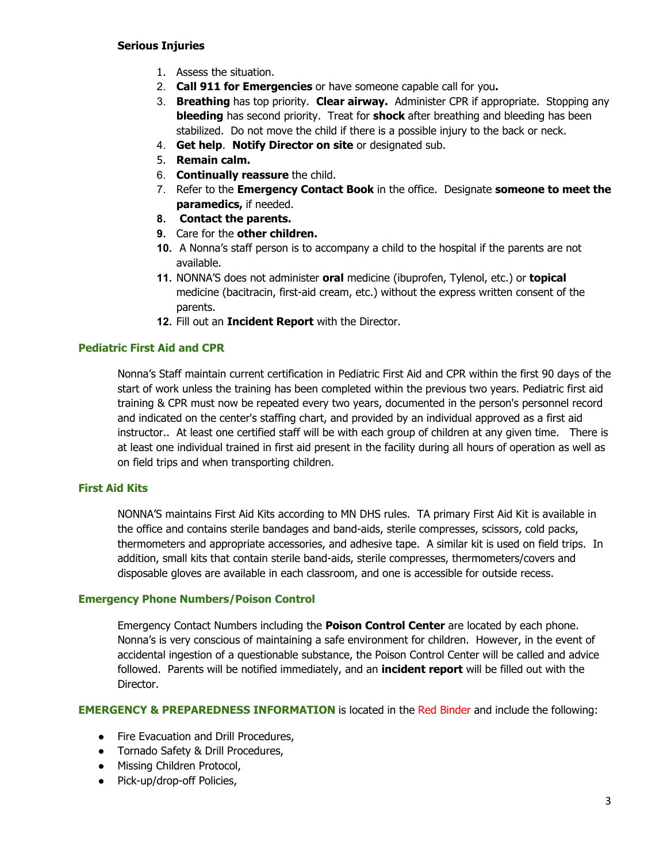- 1. Assess the situation.
- 2. **Call 911 for Emergencies** or have someone capable call for you**.**
- 3. **Breathing** has top priority. **Clear airway.** Administer CPR if appropriate. Stopping any **bleeding** has second priority. Treat for **shock** after breathing and bleeding has been stabilized. Do not move the child if there is a possible injury to the back or neck.
- 4. **Get help**. **Notify Director on site** or designated sub.
- 5. **Remain calm.**
- 6. **Continually reassure** the child.
- 7. Refer to the **Emergency Contact Book** in the office. Designate **someone to meet the paramedics,** if needed.
- **8. Contact the parents.**
- **9.** Care for the **other children.**
- **10.** A Nonna's staff person is to accompany a child to the hospital if the parents are not available.
- **11.** NONNA'S does not administer **oral** medicine (ibuprofen, Tylenol, etc.) or **topical** medicine (bacitracin, first-aid cream, etc.) without the express written consent of the parents.
- **12.** Fill out an **Incident Report** with the Director.

#### **Pediatric First Aid and CPR**

Nonna's Staff maintain current certification in Pediatric First Aid and CPR within the first 90 days of the start of work unless the training has been completed within the previous two years. Pediatric first aid training & CPR must now be repeated every two years, documented in the person's personnel record and indicated on the center's staffing chart, and provided by an individual approved as a first aid instructor.. At least one certified staff will be with each group of children at any given time. There is at least one individual trained in first aid present in the facility during all hours of operation as well as on field trips and when transporting children.

#### **First Aid Kits**

NONNA'S maintains First Aid Kits according to MN DHS rules. TA primary First Aid Kit is available in the office and contains sterile bandages and band-aids, sterile compresses, scissors, cold packs, thermometers and appropriate accessories, and adhesive tape. A similar kit is used on field trips. In addition, small kits that contain sterile band-aids, sterile compresses, thermometers/covers and disposable gloves are available in each classroom, and one is accessible for outside recess.

#### **Emergency Phone Numbers/Poison Control**

Emergency Contact Numbers including the **Poison Control Center** are located by each phone. Nonna's is very conscious of maintaining a safe environment for children. However, in the event of accidental ingestion of a questionable substance, the Poison Control Center will be called and advice followed. Parents will be notified immediately, and an **incident report** will be filled out with the Director.

**EMERGENCY & PREPAREDNESS INFORMATION** is located in the Red Binder and include the following:

- Fire Evacuation and Drill Procedures,
- Tornado Safety & Drill Procedures,
- Missing Children Protocol,
- Pick-up/drop-off Policies,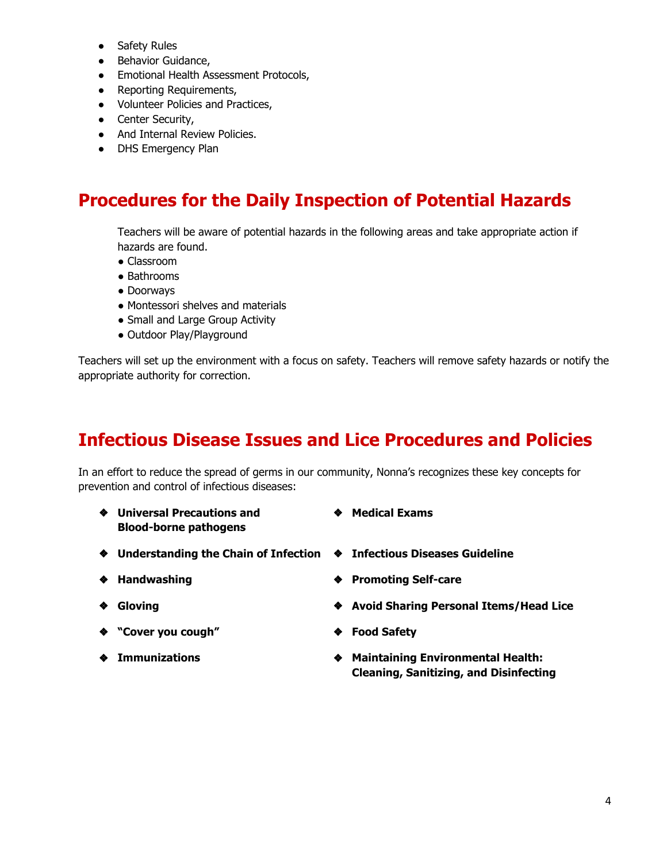- Safety Rules
- Behavior Guidance,
- Emotional Health Assessment Protocols,
- Reporting Requirements,
- Volunteer Policies and Practices,
- Center Security,
- And Internal Review Policies.
- DHS Emergency Plan

# **Procedures for the Daily Inspection of Potential Hazards**

Teachers will be aware of potential hazards in the following areas and take appropriate action if hazards are found.

- Classroom
- Bathrooms
- Doorways
- Montessori shelves and materials
- Small and Large Group Activity
- Outdoor Play/Playground

Teachers will set up the environment with a focus on safety. Teachers will remove safety hazards or notify the appropriate authority for correction.

# **Infectious Disease Issues and Lice Procedures and Policies**

In an effort to reduce the spread of germs in our community, Nonna's recognizes these key concepts for prevention and control of infectious diseases:

- ❖ **Universal Precautions and Blood-borne pathogens**
- ❖ **Medical Exams**
- ❖ **Understanding the Chain of Infection** ❖ **Infectious Diseases Guideline**
- 
- 
- ❖ **"Cover you cough"** ❖ **Food Safety**
- 
- 
- ❖ **Handwashing** ❖ **Promoting Self-care**
- ❖ **Gloving** ❖ **Avoid Sharing Personal Items/Head Lice**
	-
- ❖ **Immunizations** ❖ **Maintaining Environmental Health: Cleaning, Sanitizing, and Disinfecting**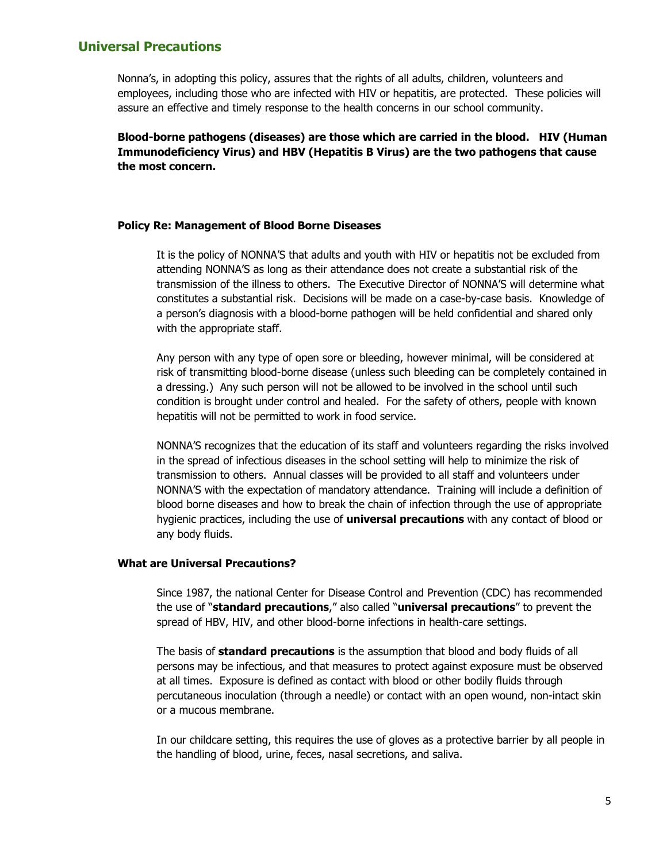## **Universal Precautions**

Nonna's, in adopting this policy, assures that the rights of all adults, children, volunteers and employees, including those who are infected with HIV or hepatitis, are protected. These policies will assure an effective and timely response to the health concerns in our school community.

**Blood-borne pathogens (diseases) are those which are carried in the blood. HIV (Human Immunodeficiency Virus) and HBV (Hepatitis B Virus) are the two pathogens that cause the most concern.**

#### **Policy Re: Management of Blood Borne Diseases**

It is the policy of NONNA'S that adults and youth with HIV or hepatitis not be excluded from attending NONNA'S as long as their attendance does not create a substantial risk of the transmission of the illness to others. The Executive Director of NONNA'S will determine what constitutes a substantial risk. Decisions will be made on a case-by-case basis. Knowledge of a person's diagnosis with a blood-borne pathogen will be held confidential and shared only with the appropriate staff.

Any person with any type of open sore or bleeding, however minimal, will be considered at risk of transmitting blood-borne disease (unless such bleeding can be completely contained in a dressing.) Any such person will not be allowed to be involved in the school until such condition is brought under control and healed. For the safety of others, people with known hepatitis will not be permitted to work in food service.

NONNA'S recognizes that the education of its staff and volunteers regarding the risks involved in the spread of infectious diseases in the school setting will help to minimize the risk of transmission to others. Annual classes will be provided to all staff and volunteers under NONNA'S with the expectation of mandatory attendance. Training will include a definition of blood borne diseases and how to break the chain of infection through the use of appropriate hygienic practices, including the use of **universal precautions** with any contact of blood or any body fluids.

#### **What are Universal Precautions?**

Since 1987, the national Center for Disease Control and Prevention (CDC) has recommended the use of "**standard precautions**," also called "**universal precautions**" to prevent the spread of HBV, HIV, and other blood-borne infections in health-care settings.

The basis of **standard precautions** is the assumption that blood and body fluids of all persons may be infectious, and that measures to protect against exposure must be observed at all times. Exposure is defined as contact with blood or other bodily fluids through percutaneous inoculation (through a needle) or contact with an open wound, non-intact skin or a mucous membrane.

In our childcare setting, this requires the use of gloves as a protective barrier by all people in the handling of blood, urine, feces, nasal secretions, and saliva.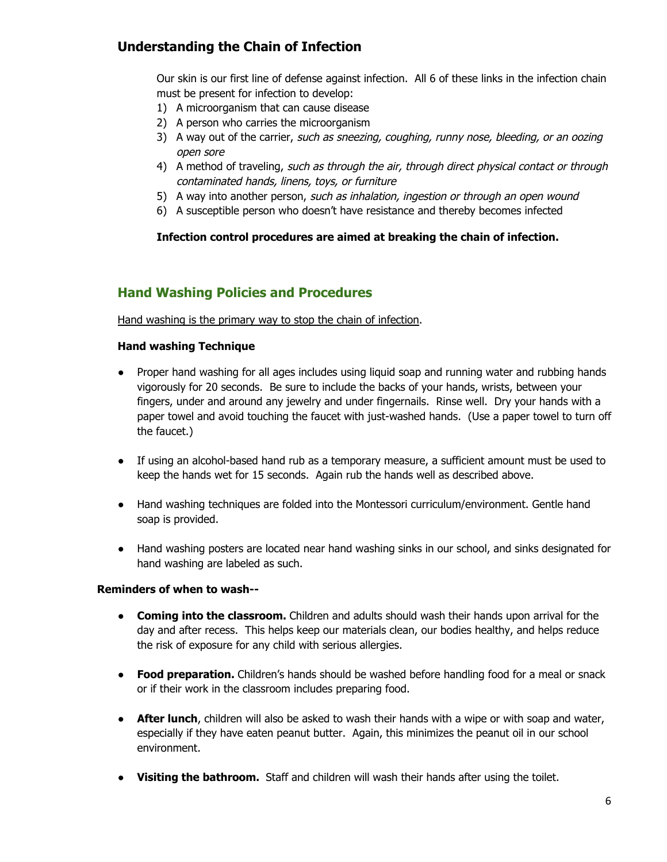## **Understanding the Chain of Infection**

Our skin is our first line of defense against infection. All 6 of these links in the infection chain must be present for infection to develop:

- 1) A microorganism that can cause disease
- 2) A person who carries the microorganism
- 3) A way out of the carrier, such as sneezing, coughing, runny nose, bleeding, or an oozing open sore
- 4) A method of traveling, such as through the air, through direct physical contact or through contaminated hands, linens, toys, or furniture
- 5) A way into another person, such as inhalation, ingestion or through an open wound
- 6) A susceptible person who doesn't have resistance and thereby becomes infected

#### **Infection control procedures are aimed at breaking the chain of infection.**

## **Hand Washing Policies and Procedures**

Hand washing is the primary way to stop the chain of infection.

#### **Hand washing Technique**

- Proper hand washing for all ages includes using liquid soap and running water and rubbing hands vigorously for 20 seconds. Be sure to include the backs of your hands, wrists, between your fingers, under and around any jewelry and under fingernails. Rinse well. Dry your hands with a paper towel and avoid touching the faucet with just-washed hands. (Use a paper towel to turn off the faucet.)
- If using an alcohol-based hand rub as a temporary measure, a sufficient amount must be used to keep the hands wet for 15 seconds. Again rub the hands well as described above.
- Hand washing techniques are folded into the Montessori curriculum/environment. Gentle hand soap is provided.
- Hand washing posters are located near hand washing sinks in our school, and sinks designated for hand washing are labeled as such.

#### **Reminders of when to wash--**

- **Coming into the classroom.** Children and adults should wash their hands upon arrival for the day and after recess. This helps keep our materials clean, our bodies healthy, and helps reduce the risk of exposure for any child with serious allergies.
- **Food preparation.** Children's hands should be washed before handling food for a meal or snack or if their work in the classroom includes preparing food.
- **After lunch**, children will also be asked to wash their hands with a wipe or with soap and water, especially if they have eaten peanut butter. Again, this minimizes the peanut oil in our school environment.
- **Visiting the bathroom.** Staff and children will wash their hands after using the toilet.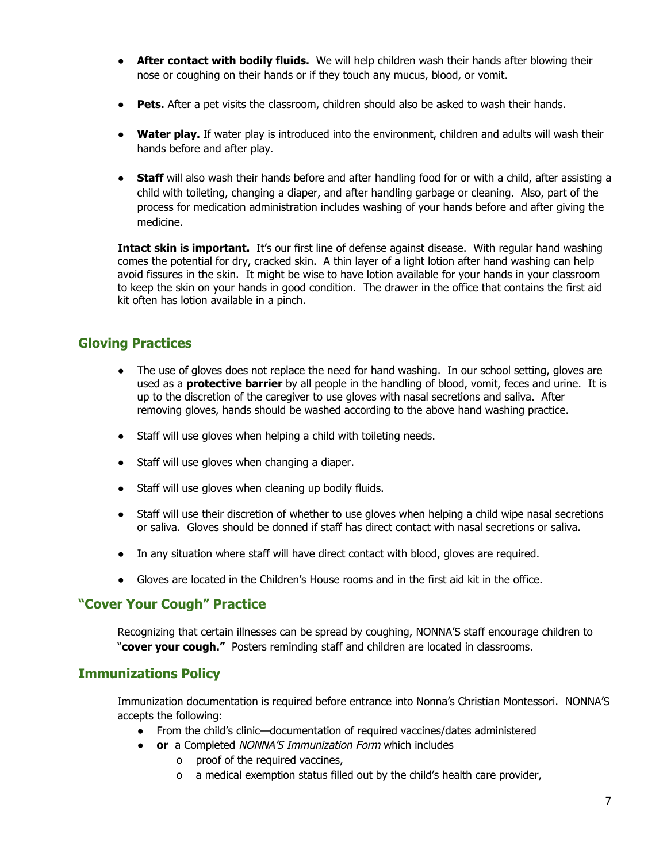- **After contact with bodily fluids.** We will help children wash their hands after blowing their nose or coughing on their hands or if they touch any mucus, blood, or vomit.
- **Pets.** After a pet visits the classroom, children should also be asked to wash their hands.
- **Water play.** If water play is introduced into the environment, children and adults will wash their hands before and after play.
- **Staff** will also wash their hands before and after handling food for or with a child, after assisting a child with toileting, changing a diaper, and after handling garbage or cleaning. Also, part of the process for medication administration includes washing of your hands before and after giving the medicine.

**Intact skin is important.** It's our first line of defense against disease. With regular hand washing comes the potential for dry, cracked skin. A thin layer of a light lotion after hand washing can help avoid fissures in the skin. It might be wise to have lotion available for your hands in your classroom to keep the skin on your hands in good condition. The drawer in the office that contains the first aid kit often has lotion available in a pinch.

## **Gloving Practices**

- The use of gloves does not replace the need for hand washing. In our school setting, gloves are used as a **protective barrier** by all people in the handling of blood, vomit, feces and urine. It is up to the discretion of the caregiver to use gloves with nasal secretions and saliva. After removing gloves, hands should be washed according to the above hand washing practice.
- Staff will use gloves when helping a child with toileting needs.
- Staff will use gloves when changing a diaper.
- Staff will use gloves when cleaning up bodily fluids.
- Staff will use their discretion of whether to use gloves when helping a child wipe nasal secretions or saliva. Gloves should be donned if staff has direct contact with nasal secretions or saliva.
- In any situation where staff will have direct contact with blood, gloves are required.
- Gloves are located in the Children's House rooms and in the first aid kit in the office.

## **"Cover Your Cough" Practice**

Recognizing that certain illnesses can be spread by coughing, NONNA'S staff encourage children to "**cover your cough."** Posters reminding staff and children are located in classrooms.

## **Immunizations Policy**

Immunization documentation is required before entrance into Nonna's Christian Montessori. NONNA'S accepts the following:

- From the child's clinic—documentation of required vaccines/dates administered
- **or** a Completed NONNA'S Immunization Form which includes
	- o proof of the required vaccines,
	- o a medical exemption status filled out by the child's health care provider,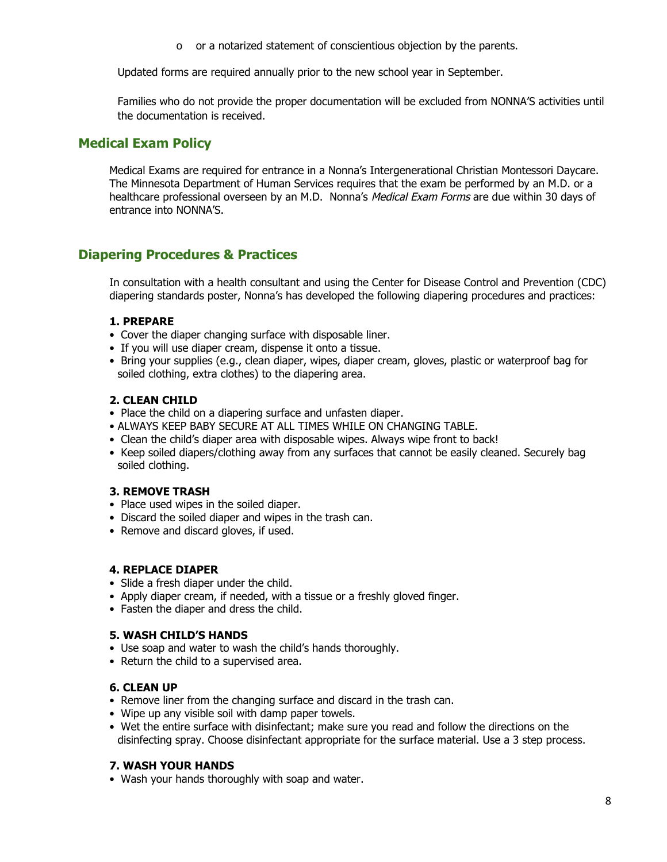o or a notarized statement of conscientious objection by the parents.

Updated forms are required annually prior to the new school year in September.

Families who do not provide the proper documentation will be excluded from NONNA'S activities until the documentation is received.

## **Medical Exam Policy**

Medical Exams are required for entrance in a Nonna's Intergenerational Christian Montessori Daycare. The Minnesota Department of Human Services requires that the exam be performed by an M.D. or a healthcare professional overseen by an M.D. Nonna's Medical Exam Forms are due within 30 days of entrance into NONNA'S.

## **Diapering Procedures & Practices**

In consultation with a health consultant and using the Center for Disease Control and Prevention (CDC) diapering standards poster, Nonna's has developed the following diapering procedures and practices:

#### **1. PREPARE**

- Cover the diaper changing surface with disposable liner.
- If you will use diaper cream, dispense it onto a tissue.
- Bring your supplies (e.g., clean diaper, wipes, diaper cream, gloves, plastic or waterproof bag for soiled clothing, extra clothes) to the diapering area.

#### **2. CLEAN CHILD**

- Place the child on a diapering surface and unfasten diaper.
- ALWAYS KEEP BABY SECURE AT ALL TIMES WHILE ON CHANGING TABLE.
- Clean the child's diaper area with disposable wipes. Always wipe front to back!
- Keep soiled diapers/clothing away from any surfaces that cannot be easily cleaned. Securely bag soiled clothing.

#### **3. REMOVE TRASH**

- Place used wipes in the soiled diaper.
- Discard the soiled diaper and wipes in the trash can.
- Remove and discard gloves, if used.

#### **4. REPLACE DIAPER**

- Slide a fresh diaper under the child.
- Apply diaper cream, if needed, with a tissue or a freshly gloved finger.
- Fasten the diaper and dress the child.

#### **5. WASH CHILD'S HANDS**

- Use soap and water to wash the child's hands thoroughly.
- Return the child to a supervised area.

#### **6. CLEAN UP**

- Remove liner from the changing surface and discard in the trash can.
- Wipe up any visible soil with damp paper towels.
- Wet the entire surface with disinfectant; make sure you read and follow the directions on the disinfecting spray. Choose disinfectant appropriate for the surface material. Use a 3 step process.

#### **7. WASH YOUR HANDS**

• Wash your hands thoroughly with soap and water.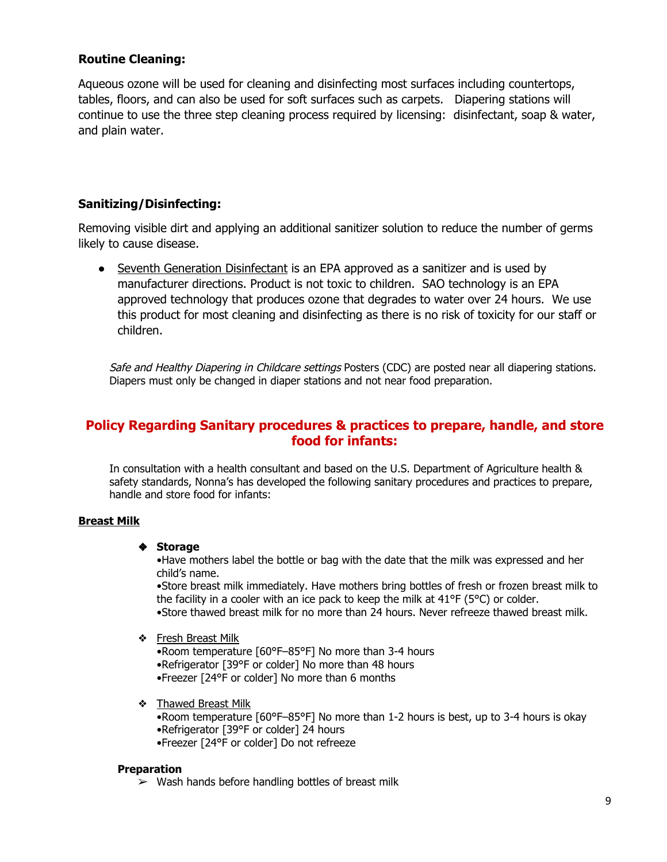## **Routine Cleaning:**

Aqueous ozone will be used for cleaning and disinfecting most surfaces including countertops, tables, floors, and can also be used for soft surfaces such as carpets. Diapering stations will continue to use the three step cleaning process required by licensing: disinfectant, soap & water, and plain water.

## **Sanitizing/Disinfecting:**

Removing visible dirt and applying an additional sanitizer solution to reduce the number of germs likely to cause disease.

• Seventh Generation Disinfectant is an EPA approved as a sanitizer and is used by manufacturer directions. Product is not toxic to children. SAO technology is an EPA approved technology that produces ozone that degrades to water over 24 hours. We use this product for most cleaning and disinfecting as there is no risk of toxicity for our staff or children.

Safe and Healthy Diapering in Childcare settings Posters (CDC) are posted near all diapering stations. Diapers must only be changed in diaper stations and not near food preparation.

## **Policy Regarding Sanitary procedures & practices to prepare, handle, and store food for infants:**

In consultation with a health consultant and based on the U.S. Department of Agriculture health & safety standards, Nonna's has developed the following sanitary procedures and practices to prepare, handle and store food for infants:

#### **Breast Milk**

#### ❖ **Storage**

•Have mothers label the bottle or bag with the date that the milk was expressed and her child's name.

•Store breast milk immediately. Have mothers bring bottles of fresh or frozen breast milk to the facility in a cooler with an ice pack to keep the milk at 41°F (5°C) or colder. •Store thawed breast milk for no more than 24 hours. Never refreeze thawed breast milk.

#### ❖ Fresh Breast Milk

•Room temperature [60°F–85°F] No more than 3-4 hours •Refrigerator [39°F or colder] No more than 48 hours •Freezer [24°F or colder] No more than 6 months

❖ Thawed Breast Milk

•Room temperature [60°F–85°F] No more than 1-2 hours is best, up to 3-4 hours is okay •Refrigerator [39°F or colder] 24 hours •Freezer [24°F or colder] Do not refreeze

#### **Preparation**

 $\triangleright$  Wash hands before handling bottles of breast milk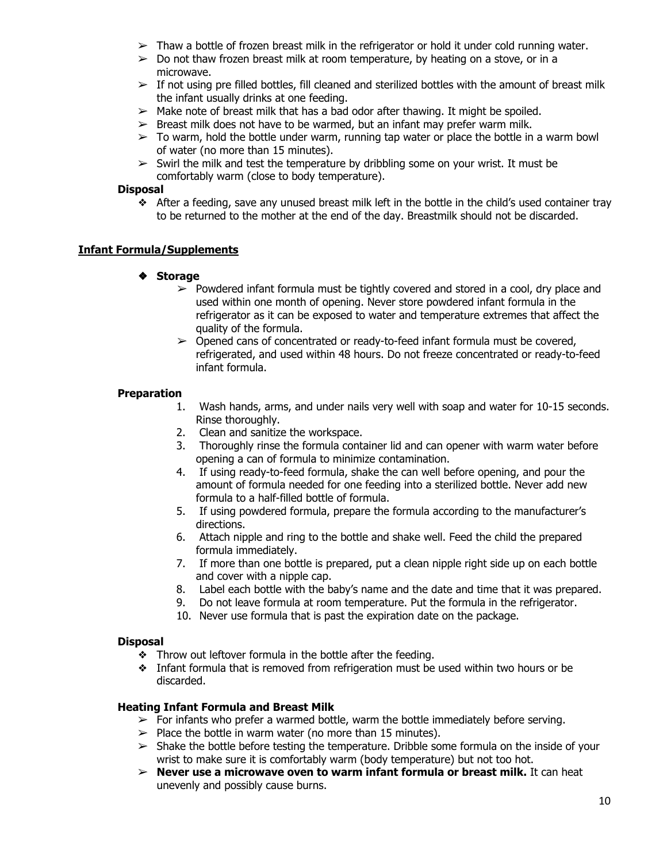- $\triangleright$  Thaw a bottle of frozen breast milk in the refrigerator or hold it under cold running water.
- $\triangleright$  Do not thaw frozen breast milk at room temperature, by heating on a stove, or in a microwave.
- $\triangleright$  If not using pre filled bottles, fill cleaned and sterilized bottles with the amount of breast milk the infant usually drinks at one feeding.
- $>$  Make note of breast milk that has a bad odor after thawing. It might be spoiled.
- $\triangleright$  Breast milk does not have to be warmed, but an infant may prefer warm milk.
- $\geq$  To warm, hold the bottle under warm, running tap water or place the bottle in a warm bowl of water (no more than 15 minutes).
- $\triangleright$  Swirl the milk and test the temperature by dribbling some on your wrist. It must be comfortably warm (close to body temperature).

#### **Disposal**

❖ After a feeding, save any unused breast milk left in the bottle in the child's used container tray to be returned to the mother at the end of the day. Breastmilk should not be discarded.

#### **Infant Formula/Supplements**

#### ❖ **Storage**

- $\triangleright$  Powdered infant formula must be tightly covered and stored in a cool, dry place and used within one month of opening. Never store powdered infant formula in the refrigerator as it can be exposed to water and temperature extremes that affect the quality of the formula.
- ➢ Opened cans of concentrated or ready-to-feed infant formula must be covered, refrigerated, and used within 48 hours. Do not freeze concentrated or ready-to-feed infant formula.

#### **Preparation**

- 1. Wash hands, arms, and under nails very well with soap and water for 10-15 seconds. Rinse thoroughly.
- 2. Clean and sanitize the workspace.
- 3. Thoroughly rinse the formula container lid and can opener with warm water before opening a can of formula to minimize contamination.
- 4. If using ready-to-feed formula, shake the can well before opening, and pour the amount of formula needed for one feeding into a sterilized bottle. Never add new formula to a half-filled bottle of formula.
- 5. If using powdered formula, prepare the formula according to the manufacturer's directions.
- 6. Attach nipple and ring to the bottle and shake well. Feed the child the prepared formula immediately.
- 7. If more than one bottle is prepared, put a clean nipple right side up on each bottle and cover with a nipple cap.
- 8. Label each bottle with the baby's name and the date and time that it was prepared.
- 9. Do not leave formula at room temperature. Put the formula in the refrigerator.
- 10. Never use formula that is past the expiration date on the package.

#### **Disposal**

- ❖ Throw out leftover formula in the bottle after the feeding.
- ❖ Infant formula that is removed from refrigeration must be used within two hours or be discarded.

#### **Heating Infant Formula and Breast Milk**

- $\triangleright$  For infants who prefer a warmed bottle, warm the bottle immediately before serving.
- $\triangleright$  Place the bottle in warm water (no more than 15 minutes).
- $\triangleright$  Shake the bottle before testing the temperature. Dribble some formula on the inside of your wrist to make sure it is comfortably warm (body temperature) but not too hot.
- ➢ **Never use a microwave oven to warm infant formula or breast milk.** It can heat unevenly and possibly cause burns.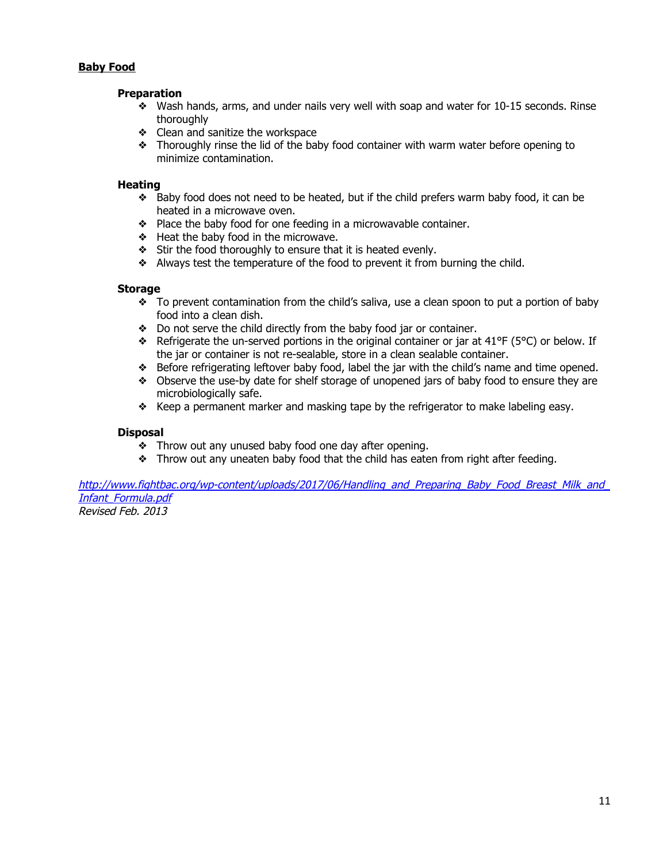#### **Baby Food**

#### **Preparation**

- ❖ Wash hands, arms, and under nails very well with soap and water for 10-15 seconds. Rinse thoroughly
- ❖ Clean and sanitize the workspace
- ❖ Thoroughly rinse the lid of the baby food container with warm water before opening to minimize contamination.

#### **Heating**

- ❖ Baby food does not need to be heated, but if the child prefers warm baby food, it can be heated in a microwave oven.
- ❖ Place the baby food for one feeding in a microwavable container.
- ❖ Heat the baby food in the microwave.
- ❖ Stir the food thoroughly to ensure that it is heated evenly.
- ❖ Always test the temperature of the food to prevent it from burning the child.

#### **Storage**

- ❖ To prevent contamination from the child's saliva, use a clean spoon to put a portion of baby food into a clean dish.
- ❖ Do not serve the child directly from the baby food jar or container.
- ❖ Refrigerate the un-served portions in the original container or jar at 41°F (5°C) or below. If the jar or container is not re-sealable, store in a clean sealable container.
- ❖ Before refrigerating leftover baby food, label the jar with the child's name and time opened.
- ❖ Observe the use-by date for shelf storage of unopened jars of baby food to ensure they are microbiologically safe.
- ❖ Keep a permanent marker and masking tape by the refrigerator to make labeling easy.

#### **Disposal**

- ❖ Throw out any unused baby food one day after opening.
- ❖ Throw out any uneaten baby food that the child has eaten from right after feeding.

http://www.fightbac.org/wp-content/uploads/2017/06/Handling\_and\_Preparing\_Baby\_Food\_Breast\_Milk\_and [Infant\\_Formula.pdf](http://www.fightbac.org/wp-content/uploads/2017/06/Handling_and_Preparing_Baby_Food_Breast_Milk_and_Infant_Formula.pdf)

Revised Feb. 2013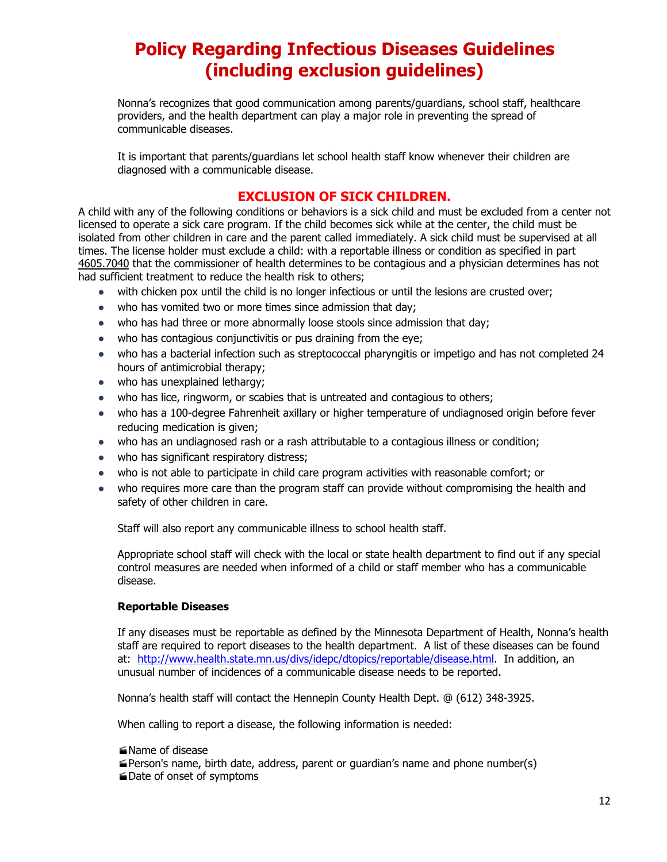# **Policy Regarding Infectious Diseases Guidelines (including exclusion guidelines)**

Nonna's recognizes that good communication among parents/guardians, school staff, healthcare providers, and the health department can play a major role in preventing the spread of communicable diseases.

It is important that parents/guardians let school health staff know whenever their children are diagnosed with a communicable disease.

## **EXCLUSION OF SICK CHILDREN.**

A child with any of the following conditions or behaviors is a sick child and must be excluded from a center not licensed to operate a sick care program. If the child becomes sick while at the center, the child must be isolated from other children in care and the parent called immediately. A sick child must be supervised at all times. The license holder must exclude a child: with a reportable illness or condition as specified in part [4605.7040](https://www.revisor.mn.gov/rules/4605.7040) that the commissioner of health determines to be contagious and a physician determines has not had sufficient treatment to reduce the health risk to others;

- with chicken pox until the child is no longer infectious or until the lesions are crusted over;
- who has vomited two or more times since admission that day;
- who has had three or more abnormally loose stools since admission that day;
- who has contagious conjunctivitis or pus draining from the eye;
- who has a bacterial infection such as streptococcal pharyngitis or impetigo and has not completed 24 hours of antimicrobial therapy;
- who has unexplained lethargy;
- who has lice, ringworm, or scabies that is untreated and contagious to others;
- who has a 100-degree Fahrenheit axillary or higher temperature of undiagnosed origin before fever reducing medication is given;
- who has an undiagnosed rash or a rash attributable to a contagious illness or condition;
- who has significant respiratory distress;
- who is not able to participate in child care program activities with reasonable comfort; or
- who requires more care than the program staff can provide without compromising the health and safety of other children in care.

Staff will also report any communicable illness to school health staff.

Appropriate school staff will check with the local or state health department to find out if any special control measures are needed when informed of a child or staff member who has a communicable disease.

#### **Reportable Diseases**

If any diseases must be reportable as defined by the Minnesota Department of Health, Nonna's health staff are required to report diseases to the health department. A list of these diseases can be found at: [http://www.health.state.mn.us/divs/idepc/dtopics/reportable/disease.html.](http://www.health.state.mn.us/divs/idepc/dtopics/reportable/disease.html) In addition, an unusual number of incidences of a communicable disease needs to be reported.

Nonna's health staff will contact the Hennepin County Health Dept. @ (612) 348-3925.

When calling to report a disease, the following information is needed:

- Name of disease
- Person's name, birth date, address, parent or guardian's name and phone number(s)
- Date of onset of symptoms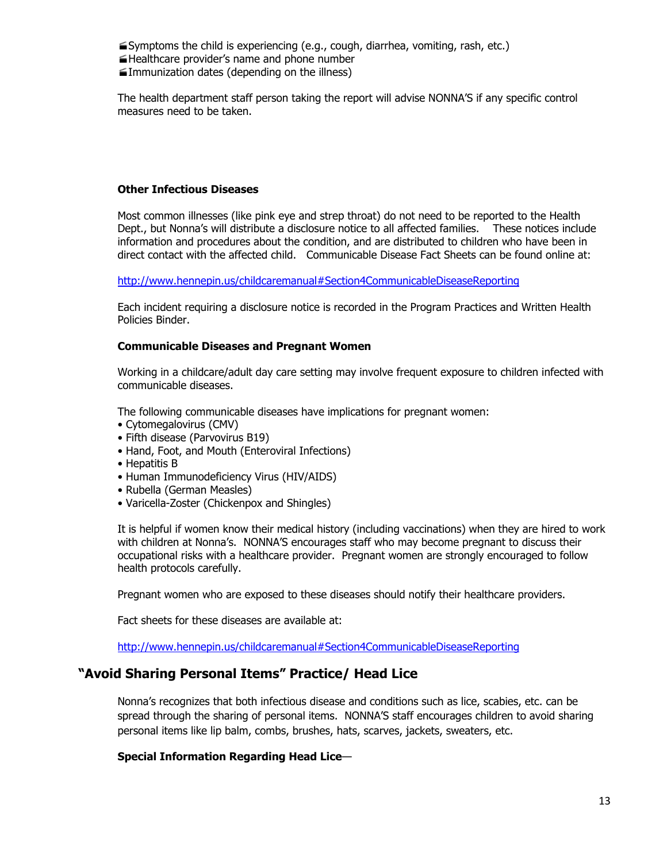Symptoms the child is experiencing (e.g., cough, diarrhea, vomiting, rash, etc.) Healthcare provider's name and phone number Immunization dates (depending on the illness)

The health department staff person taking the report will advise NONNA'S if any specific control measures need to be taken.

#### **Other Infectious Diseases**

Most common illnesses (like pink eye and strep throat) do not need to be reported to the Health Dept., but Nonna's will distribute a disclosure notice to all affected families. These notices include information and procedures about the condition, and are distributed to children who have been in direct contact with the affected child. Communicable Disease Fact Sheets can be found online at:

<http://www.hennepin.us/childcaremanual#Section4CommunicableDiseaseReporting>

Each incident requiring a disclosure notice is recorded in the Program Practices and Written Health Policies Binder.

#### **Communicable Diseases and Pregnant Women**

Working in a childcare/adult day care setting may involve frequent exposure to children infected with communicable diseases.

The following communicable diseases have implications for pregnant women:

- Cytomegalovirus (CMV)
- Fifth disease (Parvovirus B19)
- Hand, Foot, and Mouth (Enteroviral Infections)
- Hepatitis B
- Human Immunodeficiency Virus (HIV/AIDS)
- Rubella (German Measles)
- Varicella-Zoster (Chickenpox and Shingles)

It is helpful if women know their medical history (including vaccinations) when they are hired to work with children at Nonna's. NONNA'S encourages staff who may become pregnant to discuss their occupational risks with a healthcare provider. Pregnant women are strongly encouraged to follow health protocols carefully.

Pregnant women who are exposed to these diseases should notify their healthcare providers.

Fact sheets for these diseases are available at:

<http://www.hennepin.us/childcaremanual#Section4CommunicableDiseaseReporting>

## **"Avoid Sharing Personal Items" Practice/ Head Lice**

Nonna's recognizes that both infectious disease and conditions such as lice, scabies, etc. can be spread through the sharing of personal items. NONNA'S staff encourages children to avoid sharing personal items like lip balm, combs, brushes, hats, scarves, jackets, sweaters, etc.

#### **Special Information Regarding Head Lice**—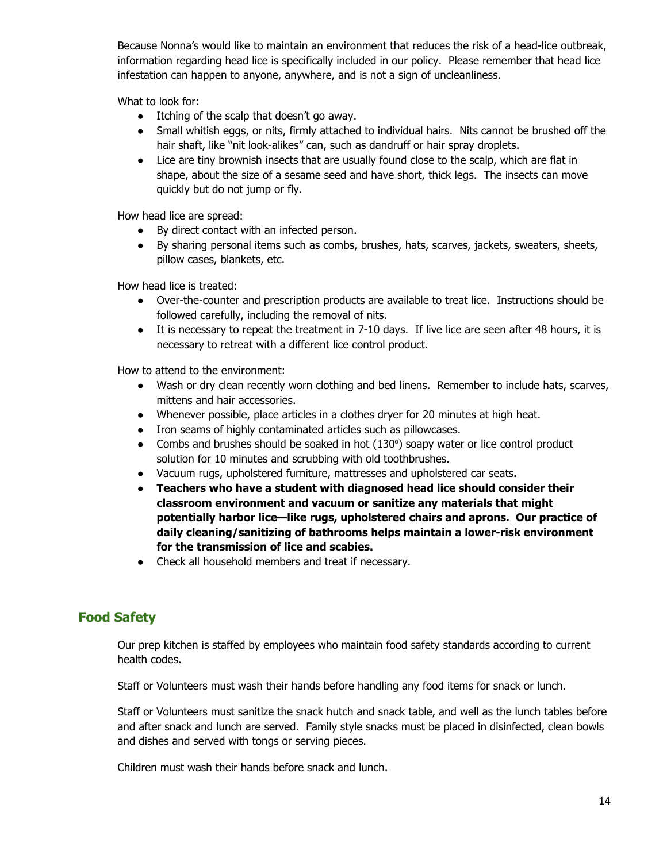Because Nonna's would like to maintain an environment that reduces the risk of a head-lice outbreak, information regarding head lice is specifically included in our policy. Please remember that head lice infestation can happen to anyone, anywhere, and is not a sign of uncleanliness.

What to look for:

- Itching of the scalp that doesn't go away.
- Small whitish eggs, or nits, firmly attached to individual hairs. Nits cannot be brushed off the hair shaft, like "nit look-alikes" can, such as dandruff or hair spray droplets.
- Lice are tiny brownish insects that are usually found close to the scalp, which are flat in shape, about the size of a sesame seed and have short, thick legs. The insects can move quickly but do not jump or fly.

How head lice are spread:

- By direct contact with an infected person.
- By sharing personal items such as combs, brushes, hats, scarves, jackets, sweaters, sheets, pillow cases, blankets, etc.

How head lice is treated:

- Over-the-counter and prescription products are available to treat lice. Instructions should be followed carefully, including the removal of nits.
- It is necessary to repeat the treatment in 7-10 days. If live lice are seen after 48 hours, it is necessary to retreat with a different lice control product.

How to attend to the environment:

- Wash or dry clean recently worn clothing and bed linens. Remember to include hats, scarves, mittens and hair accessories.
- Whenever possible, place articles in a clothes dryer for 20 minutes at high heat.
- Iron seams of highly contaminated articles such as pillowcases.
- Combs and brushes should be soaked in hot (130°) soapy water or lice control product solution for 10 minutes and scrubbing with old toothbrushes.
- **●** Vacuum rugs, upholstered furniture, mattresses and upholstered car seats**.**
- **● Teachers who have a student with diagnosed head lice should consider their classroom environment and vacuum or sanitize any materials that might potentially harbor lice—like rugs, upholstered chairs and aprons. Our practice of daily cleaning/sanitizing of bathrooms helps maintain a lower-risk environment for the transmission of lice and scabies.**
- Check all household members and treat if necessary.

## **Food Safety**

Our prep kitchen is staffed by employees who maintain food safety standards according to current health codes.

Staff or Volunteers must wash their hands before handling any food items for snack or lunch.

Staff or Volunteers must sanitize the snack hutch and snack table, and well as the lunch tables before and after snack and lunch are served. Family style snacks must be placed in disinfected, clean bowls and dishes and served with tongs or serving pieces.

Children must wash their hands before snack and lunch.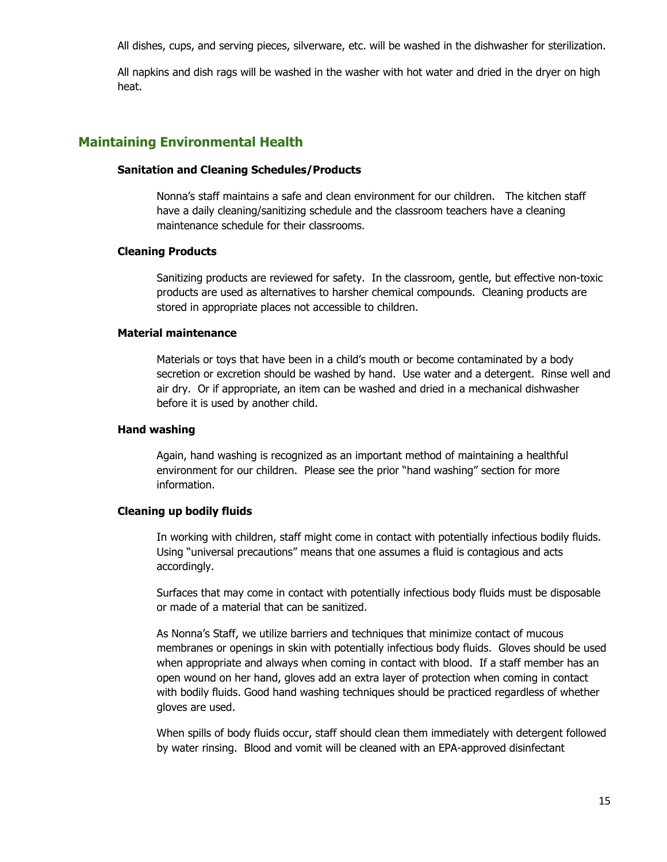All dishes, cups, and serving pieces, silverware, etc. will be washed in the dishwasher for sterilization.

All napkins and dish rags will be washed in the washer with hot water and dried in the dryer on high heat.

## **Maintaining Environmental Health**

#### **Sanitation and Cleaning Schedules/Products**

Nonna's staff maintains a safe and clean environment for our children. The kitchen staff have a daily cleaning/sanitizing schedule and the classroom teachers have a cleaning maintenance schedule for their classrooms.

#### **Cleaning Products**

Sanitizing products are reviewed for safety. In the classroom, gentle, but effective non-toxic products are used as alternatives to harsher chemical compounds. Cleaning products are stored in appropriate places not accessible to children.

#### **Material maintenance**

Materials or toys that have been in a child's mouth or become contaminated by a body secretion or excretion should be washed by hand. Use water and a detergent. Rinse well and air dry. Or if appropriate, an item can be washed and dried in a mechanical dishwasher before it is used by another child.

#### **Hand washing**

Again, hand washing is recognized as an important method of maintaining a healthful environment for our children. Please see the prior "hand washing" section for more information.

#### **Cleaning up bodily fluids**

In working with children, staff might come in contact with potentially infectious bodily fluids. Using "universal precautions" means that one assumes a fluid is contagious and acts accordingly.

Surfaces that may come in contact with potentially infectious body fluids must be disposable or made of a material that can be sanitized.

As Nonna's Staff, we utilize barriers and techniques that minimize contact of mucous membranes or openings in skin with potentially infectious body fluids. Gloves should be used when appropriate and always when coming in contact with blood. If a staff member has an open wound on her hand, gloves add an extra layer of protection when coming in contact with bodily fluids. Good hand washing techniques should be practiced regardless of whether gloves are used.

When spills of body fluids occur, staff should clean them immediately with detergent followed by water rinsing. Blood and vomit will be cleaned with an EPA-approved disinfectant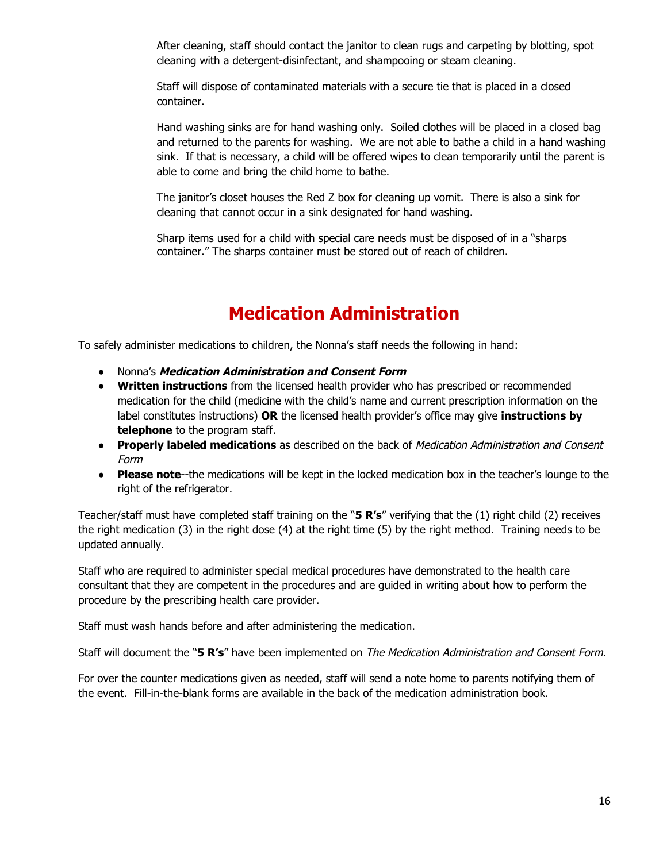After cleaning, staff should contact the janitor to clean rugs and carpeting by blotting, spot cleaning with a detergent-disinfectant, and shampooing or steam cleaning.

Staff will dispose of contaminated materials with a secure tie that is placed in a closed container.

Hand washing sinks are for hand washing only. Soiled clothes will be placed in a closed bag and returned to the parents for washing. We are not able to bathe a child in a hand washing sink. If that is necessary, a child will be offered wipes to clean temporarily until the parent is able to come and bring the child home to bathe.

The janitor's closet houses the Red Z box for cleaning up vomit. There is also a sink for cleaning that cannot occur in a sink designated for hand washing.

Sharp items used for a child with special care needs must be disposed of in a "sharps container." The sharps container must be stored out of reach of children.

# **Medication Administration**

To safely administer medications to children, the Nonna's staff needs the following in hand:

- **●** Nonna's **Medication Administration and Consent Form**
- **Written instructions** from the licensed health provider who has prescribed or recommended medication for the child (medicine with the child's name and current prescription information on the label constitutes instructions) **OR** the licensed health provider's office may give **instructions by telephone** to the program staff.
- **Properly labeled medications** as described on the back of Medication Administration and Consent Form
- **Please note**--the medications will be kept in the locked medication box in the teacher's lounge to the right of the refrigerator.

Teacher/staff must have completed staff training on the "**5 R's**" verifying that the (1) right child (2) receives the right medication (3) in the right dose (4) at the right time (5) by the right method. Training needs to be updated annually.

Staff who are required to administer special medical procedures have demonstrated to the health care consultant that they are competent in the procedures and are guided in writing about how to perform the procedure by the prescribing health care provider.

Staff must wash hands before and after administering the medication.

Staff will document the "**5 R's**" have been implemented on The Medication Administration and Consent Form.

For over the counter medications given as needed, staff will send a note home to parents notifying them of the event. Fill-in-the-blank forms are available in the back of the medication administration book.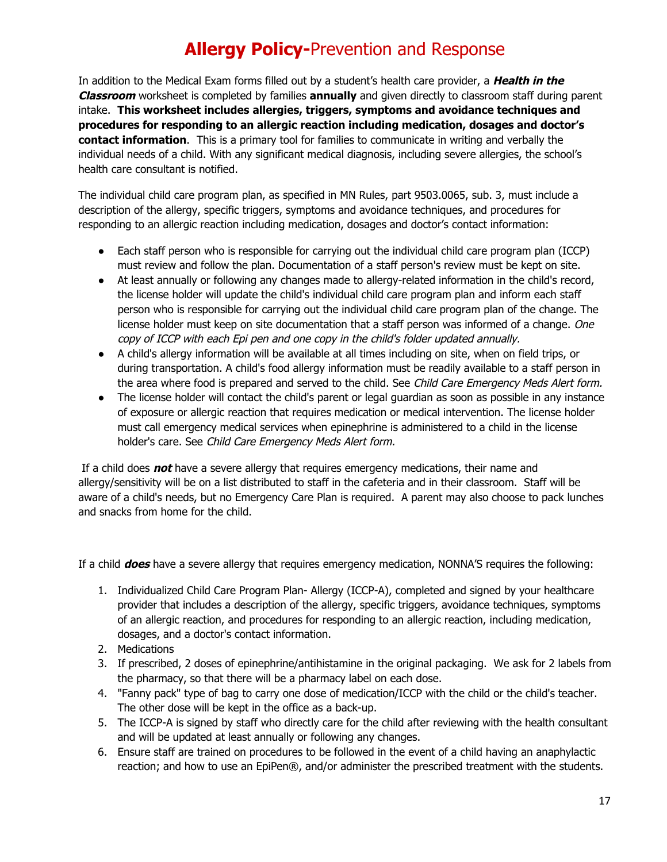# **Allergy Policy-**Prevention and Response

In addition to the Medical Exam forms filled out by a student's health care provider, a **Health in the Classroom** worksheet is completed by families **annually** and given directly to classroom staff during parent intake. **This worksheet includes allergies, triggers, symptoms and avoidance techniques and procedures for responding to an allergic reaction including medication, dosages and doctor's contact information**. This is a primary tool for families to communicate in writing and verbally the individual needs of a child. With any significant medical diagnosis, including severe allergies, the school's health care consultant is notified.

The individual child care program plan, as specified in MN Rules, part 9503.0065, sub. 3, must include a description of the allergy, specific triggers, symptoms and avoidance techniques, and procedures for responding to an allergic reaction including medication, dosages and doctor's contact information:

- Each staff person who is responsible for carrying out the individual child care program plan (ICCP) must review and follow the plan. Documentation of a staff person's review must be kept on site.
- At least annually or following any changes made to allergy-related information in the child's record, the license holder will update the child's individual child care program plan and inform each staff person who is responsible for carrying out the individual child care program plan of the change. The license holder must keep on site documentation that a staff person was informed of a change. One copy of ICCP with each Epi pen and one copy in the child's folder updated annually.
- A child's allergy information will be available at all times including on site, when on field trips, or during transportation. A child's food allergy information must be readily available to a staff person in the area where food is prepared and served to the child. See Child Care Emergency Meds Alert form.
- The license holder will contact the child's parent or legal guardian as soon as possible in any instance of exposure or allergic reaction that requires medication or medical intervention. The license holder must call emergency medical services when epinephrine is administered to a child in the license holder's care. See Child Care Emergency Meds Alert form.

If a child does **not** have a severe allergy that requires emergency medications, their name and allergy/sensitivity will be on a list distributed to staff in the cafeteria and in their classroom. Staff will be aware of a child's needs, but no Emergency Care Plan is required. A parent may also choose to pack lunches and snacks from home for the child.

If a child **does** have a severe allergy that requires emergency medication, NONNA'S requires the following:

- 1. Individualized Child Care Program Plan- Allergy (ICCP-A), completed and signed by your healthcare provider that includes a description of the allergy, specific triggers, avoidance techniques, symptoms of an allergic reaction, and procedures for responding to an allergic reaction, including medication, dosages, and a doctor's contact information.
- 2. Medications
- 3. If prescribed, 2 doses of epinephrine/antihistamine in the original packaging. We ask for 2 labels from the pharmacy, so that there will be a pharmacy label on each dose.
- 4. "Fanny pack" type of bag to carry one dose of medication/ICCP with the child or the child's teacher. The other dose will be kept in the office as a back-up.
- 5. The ICCP-A is signed by staff who directly care for the child after reviewing with the health consultant and will be updated at least annually or following any changes.
- 6. Ensure staff are trained on procedures to be followed in the event of a child having an anaphylactic reaction; and how to use an EpiPen®, and/or administer the prescribed treatment with the students.